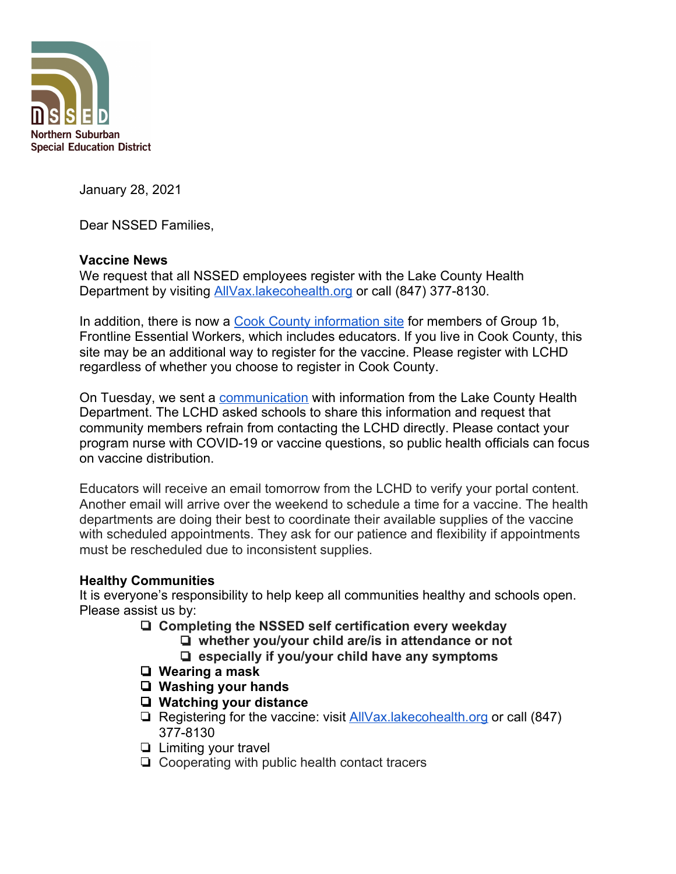

January 28, 2021

Dear NSSED Families,

## **Vaccine News**

We request that all NSSED employees register with the Lake County Health Department by visiting [AllVax.lakecohealth.org](https://allvax.lakecohealth.org/s/?language=en_US) or call (847) 377-8130.

In addition, there is now a [Cook County information site](https://vaccine.cookcountyil.gov/?fbclid=IwAR3CLK8cQeM6xPklV87w51Bc5rF3nDfTt6RHNWlE3pPD9lpSc2OridRR0Yg) for members of Group 1b, Frontline Essential Workers, which includes educators. If you live in Cook County, this site may be an additional way to register for the vaccine. Please register with LCHD regardless of whether you choose to register in Cook County.

On Tuesday, we sent a [communication](https://www.nssed.org/cms/lib/IL50000460/Centricity/Domain/151/January%2025%202021%20Message%20from%20Superintendent%20Kurt%20A.%20Schneider.pdf) with information from the Lake County Health Department. The LCHD asked schools to share this information and request that community members refrain from contacting the LCHD directly. Please contact your program nurse with COVID-19 or vaccine questions, so public health officials can focus on vaccine distribution.

Educators will receive an email tomorrow from the LCHD to verify your portal content. Another email will arrive over the weekend to schedule a time for a vaccine. The health departments are doing their best to coordinate their available supplies of the vaccine with scheduled appointments. They ask for our patience and flexibility if appointments must be rescheduled due to inconsistent supplies.

## **Healthy Communities**

It is everyone's responsibility to help keep all communities healthy and schools open. Please assist us by:

- ❏ **Completing the NSSED self certification every weekday**
	- ❏ **whether you/your child are/is in attendance or not**
	- ❏ **especially if you/your child have any symptoms**
- ❏ **Wearing a mask**
- ❏ **Washing your hands**
- ❏ **Watching your distance**
- ❏ Registering for the vaccine: visit [AllVax.lakecohealth.org](https://allvax.lakecohealth.org/s/?language=en_US) or call (847) 377-8130
- ❏ Limiting your travel
- ❏ Cooperating with public health contact tracers